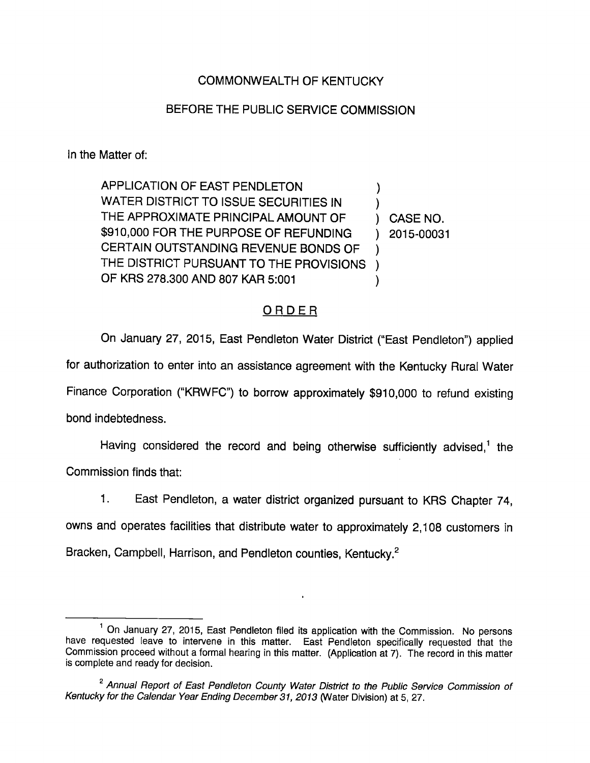## COMMONWEALTH OF KENTUCKY

## BEFORE THE PUBLIC SERVICE COMMISSION

In the Matter of:

APPLICATION OF EAST PENDLETON  $\lambda$ WATER DISTRICT TO ISSUE SECURITIES IN THE APPROXIMATE PRINCIPAL AMOUNT OF ) CASE NO. \$910,000 FOR THE PURPOSE OF REFUNDING ) 2015-00031 CERTAIN OUTSTANDING REVENUE BONDS OF THE DISTRICT PURSUANT TO THE PROVISIONS ) OF KRS 278.300 AND 807 KAR 5:001  $\lambda$ 

## ORDER

On January 27, 2015, East Pendleton Water District ("East Pendleton") applied for authorization to enter into an assistance agreement with the Kentucky Rural Water Finance Corporation ("KRWFC") to borrow approximately \$910,000 to refund existing bond indebtedness.

Having considered the record and being otherwise sufficiently advised, $<sup>1</sup>$  the</sup> Commission finds that:

1. East Pendleton, a water district organized pursuant to KRS Chapter 74,

owns and operates facilities that distribute water to approximately 2,108 customers in

Bracken, Campbell, Harrison, and Pendleton counties, Kentucky.<sup>2</sup>

<sup>&</sup>lt;sup>1</sup> On January 27, 2015, East Pendleton filed its application with the Commission. No persons have requested leave to intervene in this matter. East Pendieton specifically requested that the Commission proceed without a formal hearing in this matter. (Appiication at 7). The record in this matter is complete and ready for decision.

<sup>&</sup>lt;sup>2</sup> Annual Report of East Pendleton County Water District to the Public Service Commission of Kentucky for the Calendar Year Ending December 31, 2013 (Water Division) at 5, 27.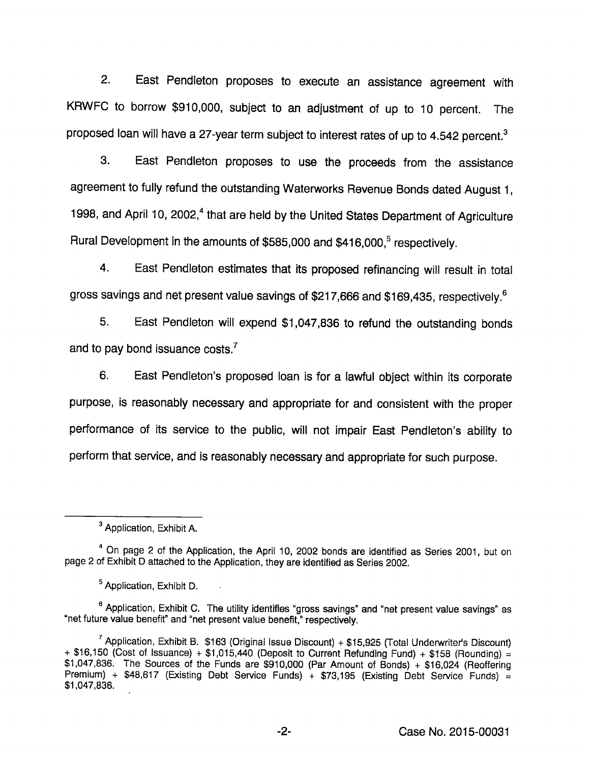2. East Pendleton proposes to execute an assistance agreement with KRWFC to borrow \$910,000, subject to an adjustment of up to 10 percent. The proposed loan will have a 27-year term subject to interest rates of up to 4.542 percent. $3$ 

3. East Pendieton proposes to use the proceeds from the assistance agreement to fuiiy refund the outstanding Waterworks Revenue Bonds dated August 1, 1998, and April 10, 2002,<sup>4</sup> that are held by the United States Department of Agriculture Rural Development in the amounts of \$585,000 and \$416,000.<sup>5</sup> respectively.

4. East Pendleton estimates that its proposed refinancing will result in total gross savings and net present value savings of \$217,666 and \$169,435, respectively.<sup>6</sup>

5. East Pendieton wiii expend \$1,047,836 to refund the outstanding bonds and to pay bond issuance costs. $<sup>7</sup>$ </sup>

6. East Pendleton's proposed ioan is for a lawful object within its corporate purpose, is reasonably necessary and appropriate for and consistent with the proper performance of its service to the public, wiii not impair East Pendleton's ability to perform that service, and is reasonably necessary and appropriate for such purpose.

<sup>&</sup>lt;sup>3</sup> Application, Exhibit A.

<sup>&</sup>lt;sup>4</sup> On page 2 of the Application, the April 10, 2002 bonds are identified as Series 2001, but on page 2 of Exhibit D attached to the Application, they are identified as Series 2002.

<sup>&</sup>lt;sup>5</sup> Application, Exhibit D.

<sup>&</sup>lt;sup>6</sup> Application, Exhibit C. The utility identifies "gross savings" and "net present value savings" as "net future value benefit" and "net present value benefit," respectively.

 $^7$  Application, Exhibit B. \$163 (Original Issue Discount) + \$15,925 (Total Underwriter's Discount) + \$16,150 (Cost of Issuance) + \$1,015,440 (Deposit to Current Refunding Fund) + \$158 (Rounding) = \$1,047,836. The Sources of the Funds are \$910,000 (Par Amount of Bonds) + \$16,024 (Reoffering Premium) + \$48,617 (Existing Debt Service Funds) + \$73,195 (Existing Debt Service Funds) = \$1,047,836.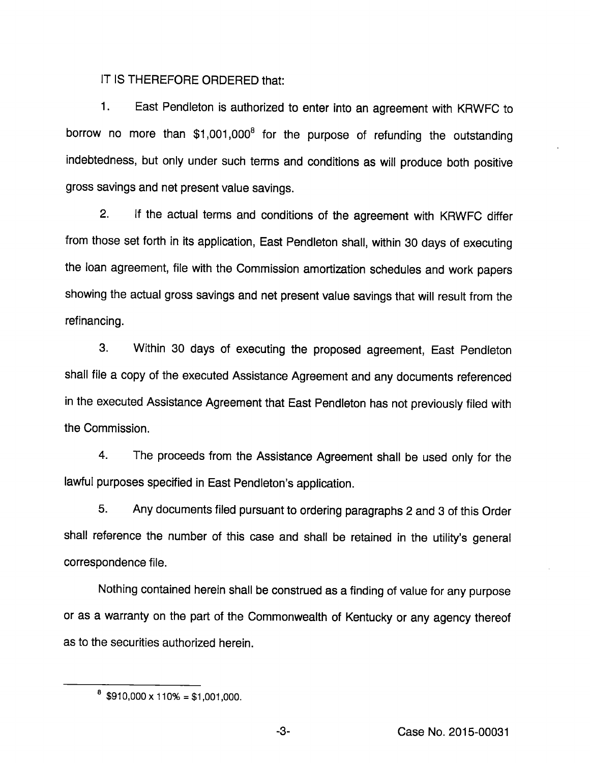IT IS THEREFORE ORDERED that:

1. East Pendleton is authorized to enter into an agreement with KRWFC to borrow no more than \$1,001,000<sup>8</sup> for the purpose of refunding the outstanding indebtedness, but only under such terms and conditions as will produce both positive gross savings and net present value savings.

2. If the actual terms and conditions of the agreement with KRWFC differ from those set forth in its application. East Pendleton shall, within 30 days of executing the loan agreement, file with the Commission amortization schedules and work papers showing the actual gross savings and net present value savings that will result from the refinancing.

3. Within 30 days of executing the proposed agreement, East Pendleton shall file a copy of the executed Assistance Agreement and any documents referenced in the executed Assistance Agreement that East Pendleton has not previously filed with the Commission.

4. The proceeds from the Assistance Agreement shall be used only for the lawful purposes specified in East Pendleton's application.

5. Any documents filed pursuant to ordering paragraphs 2 and 3 of this Order shall reference the number of this case and shall be retained in the utility's general correspondence file.

Nothing contained herein shall be construed as a finding of value for any purpose or as a warranty on the part of the Commonwealth of Kentucky or any agency thereof as to the securities authorized herein.

 $8$  \$910,000 x 110% = \$1,001,000.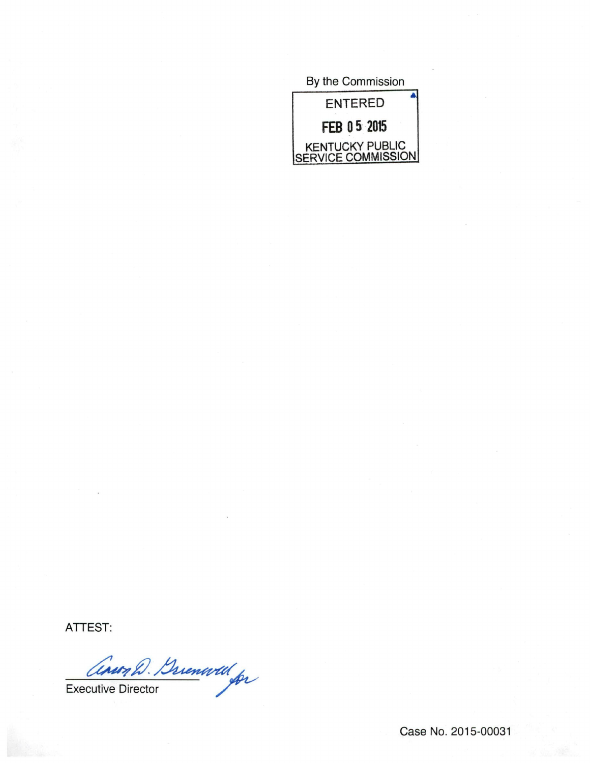

ATTEST:

Cinor D. Buenwell